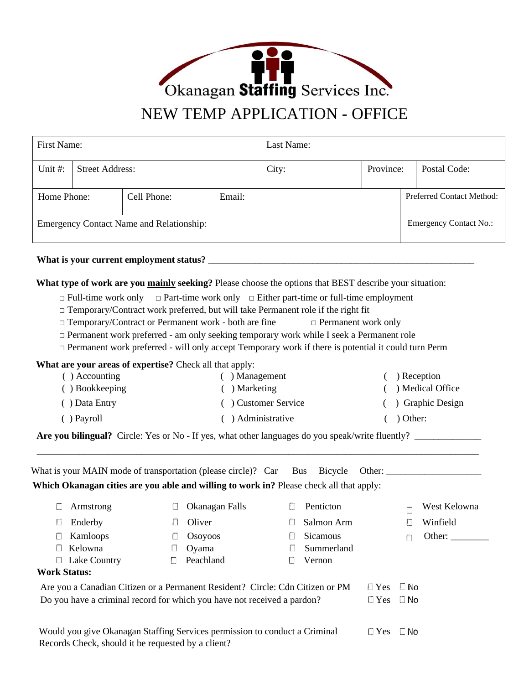

## First Name: Last Name: Unit #: Street Address: City: Province: Postal Code: Home Phone: Cell Phone: Email: Email: Preferred Contact Method: Emergency Contact Name and Relationship:  $\blacksquare$  Emergency Contact No.:

## **What is your current employment status?** \_\_\_\_\_\_\_\_\_\_\_\_\_\_\_\_\_\_\_\_\_\_\_\_\_\_\_\_\_\_\_\_\_\_\_\_\_\_\_\_\_\_\_\_\_\_\_\_\_\_\_\_\_\_\_\_

**What type of work are you mainly seeking?** Please choose the options that BEST describe your situation:

- □ Full-time work only □ Part-time work only □ Either part-time or full-time employment
- $\Box$  Temporary/Contract work preferred, but will take Permanent role if the right fit
- □ Temporary/Contract or Permanent work both are fine □ Permanent work only
- $\Box$  Permanent work preferred am only seeking temporary work while I seek a Permanent role
- $\Box$  Permanent work preferred will only accept Temporary work if there is potential it could turn Perm

**What are your areas of expertise?** Check all that apply:

| $( )$ Accounting     | ) Management         | ) Reception        |
|----------------------|----------------------|--------------------|
| <b>D</b> Bookkeeping | ) Marketing          | ) Medical Office   |
| ) Data Entry         | (a) Customer Service | ( ) Graphic Design |
| $( )$ Payroll        | Administrative       | Other:             |

\_\_\_\_\_\_\_\_\_\_\_\_\_\_\_\_\_\_\_\_\_\_\_\_\_\_\_\_\_\_\_\_\_\_\_\_\_\_\_\_\_\_\_\_\_\_\_\_\_\_\_\_\_\_\_\_\_\_\_\_\_\_\_\_\_\_\_\_\_\_\_\_\_\_\_\_\_\_\_\_\_\_\_\_\_\_\_\_\_\_\_\_\_

**Are you bilingual?** Circle: Yes or No - If yes, what other languages do you speak/write fluently? \_\_\_\_\_\_\_\_\_\_\_\_\_\_

| What is your MAIN mode of transportation (please circle)? Car Bus Bicycle<br>Other: $\qquad \qquad$                              |                |                           |  |                      |  |  |  |
|----------------------------------------------------------------------------------------------------------------------------------|----------------|---------------------------|--|----------------------|--|--|--|
| Which Okanagan cities are you able and willing to work in? Please check all that apply:                                          |                |                           |  |                      |  |  |  |
| Armstrong<br>$\mathcal{L}$                                                                                                       | Okanagan Falls | Penticton<br>U            |  | West Kelowna         |  |  |  |
| Enderby<br>U                                                                                                                     | Oliver<br>Ħ    | Salmon Arm<br>L           |  | Winfield<br>Е        |  |  |  |
| Kamloops<br>U                                                                                                                    | Osoyoos<br>U   | <b>Sicamous</b><br>$\Box$ |  | Other:               |  |  |  |
| Kelowna                                                                                                                          | Oyama          | Summerland<br>L           |  |                      |  |  |  |
| Lake Country<br>$\Box$                                                                                                           | Peachland<br>П | Vernon<br>$\Box$          |  |                      |  |  |  |
| <b>Work Status:</b>                                                                                                              |                |                           |  |                      |  |  |  |
| Are you a Canadian Citizen or a Permanent Resident? Circle: Cdn Citizen or PM                                                    | $\Box$ Yes     | <b>No</b>                 |  |                      |  |  |  |
| Do you have a criminal record for which you have not received a pardon?                                                          |                |                           |  | $\Box$ Yes $\Box$ No |  |  |  |
|                                                                                                                                  |                |                           |  |                      |  |  |  |
| Would you give Okanagan Staffing Services permission to conduct a Criminal<br>Records Check, should it be requested by a client? |                |                           |  | ⊟ No                 |  |  |  |